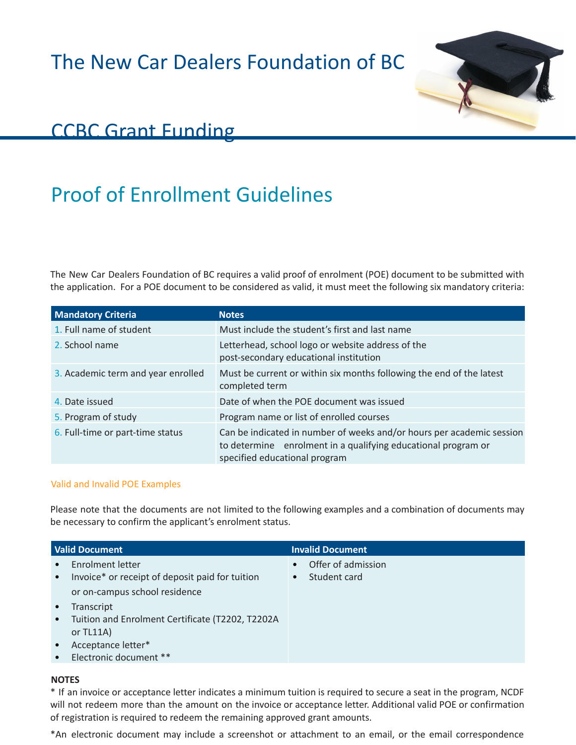The New Car Dealers Foundation of BC



## CCBC Grant Funding

## Proof of Enrollment Guidelines

The New Car Dealers Foundation of BC requires a valid proof of enrolment (POE) document to be submitted with the application. For a POE document to be considered as valid, it must meet the following six mandatory criteria:

| <b>Mandatory Criteria</b>          | <b>Notes</b>                                                                                                                                                            |
|------------------------------------|-------------------------------------------------------------------------------------------------------------------------------------------------------------------------|
| 1. Full name of student            | Must include the student's first and last name                                                                                                                          |
| 2. School name                     | Letterhead, school logo or website address of the<br>post-secondary educational institution                                                                             |
| 3. Academic term and year enrolled | Must be current or within six months following the end of the latest<br>completed term                                                                                  |
| 4. Date issued                     | Date of when the POE document was issued                                                                                                                                |
| 5. Program of study                | Program name or list of enrolled courses                                                                                                                                |
| 6. Full-time or part-time status   | Can be indicated in number of weeks and/or hours per academic session<br>to determine enrolment in a qualifying educational program or<br>specified educational program |

## Valid and Invalid POE Examples

Please note that the documents are not limited to the following examples and a combination of documents may be necessary to confirm the applicant's enrolment status.

| <b>Valid Document</b>                                                                         | <b>Invalid Document</b> |
|-----------------------------------------------------------------------------------------------|-------------------------|
| <b>Enrolment letter</b><br>$\bullet$                                                          | Offer of admission      |
| Invoice* or receipt of deposit paid for tuition<br>$\bullet$<br>or on-campus school residence | Student card            |
| Transcript<br>$\bullet$                                                                       |                         |
| Tuition and Enrolment Certificate (T2202, T2202A<br>$\bullet$<br>or $TL11A)$                  |                         |
| Acceptance letter*<br>$\bullet$                                                               |                         |
| Electronic document **<br>$\bullet$                                                           |                         |

## **NOTES**

\* If an invoice or acceptance letter indicates a minimum tuition is required to secure a seat in the program, NCDF will not redeem more than the amount on the invoice or acceptance letter. Additional valid POE or confirmation of registration is required to redeem the remaining approved grant amounts.

\*An electronic document may include a screenshot or attachment to an email, or the email correspondence